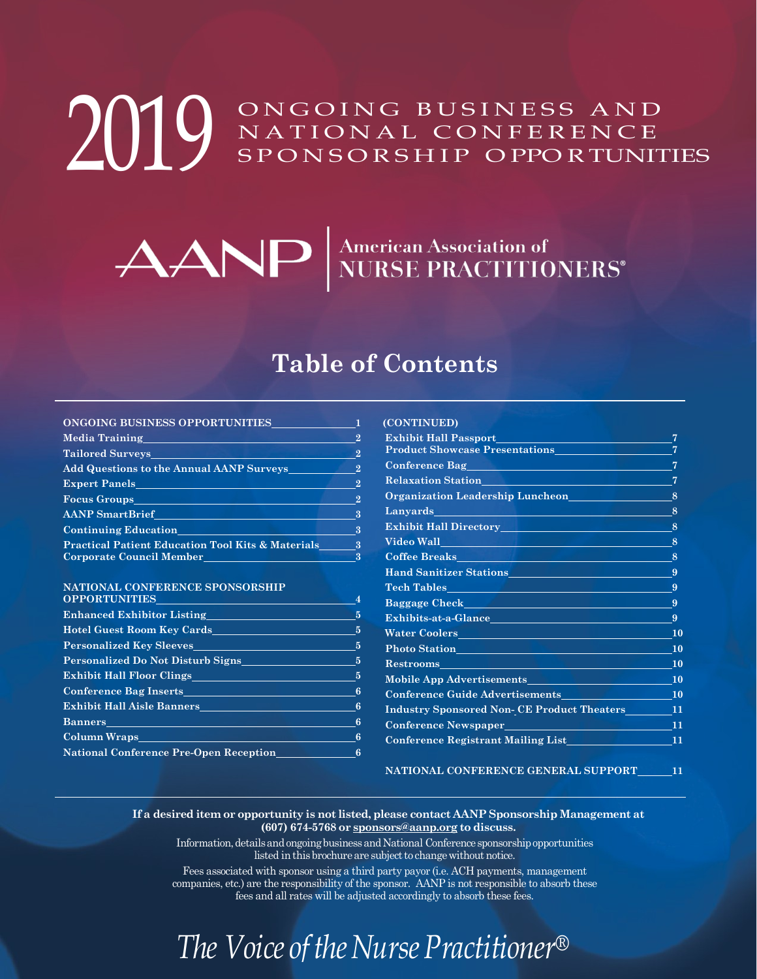#### ONGOING BUSINESS AND NATIONAL CONFERENCE SPONSORSHIP O PPO RTUNITIES 2019

# ANP MURSE PRACTITIONERS

#### **Table of Contents**

#### **[ONGOING BUSINESS OPPORTUNITIES](#page-1-0) 1 [Media Training](#page-1-1) 2 [Tailored Surveys](#page-1-1) 2 [Add Questions to the Annual AANP Surveys](#page-1-1) 2 [Expert Panels](#page-1-1) 22 [Focus Groups](#page-3-0) 2 [AANP SmartBrief](#page-3-0) 3**

| <b>Continuing Education</b>                                  |  |
|--------------------------------------------------------------|--|
| <b>Practical Patient Education Tool Kits &amp; Materials</b> |  |
| Corporate Council Member                                     |  |

#### **NATIONAL CONFERENCE [SPONSORSHIP](#page-4-0)**

| Enhanced Exhibitor Listing Enhanced Exhibitor Listing<br>$\overline{5}$ |
|-------------------------------------------------------------------------|
| <b>Example 18 Hotel Guest Room Key Cards Example 2014</b>               |
| - 5                                                                     |
| <b>Personalized Do Not Disturb Signs</b> 5                              |
| Exhibit Hall Floor Clings 6. 2012.                                      |
| <b>Conference Bag Inserts 6 and 1997 Conference Bag Inserts</b>         |
| Exhibit Hall Aisle Banners 6                                            |
| -6                                                                      |
| 6 <sub>6</sub>                                                          |
| <b>National Conference Pre-Open Reception</b><br>6                      |
|                                                                         |

#### **(CONTINUED) [Exhibit Hall Passport](#page-6-0) 7**<sup>2</sup> [Product Showcase Presentations](#page-6-0) 7 **[Conference Bag](#page-6-0)** *<i>P* **7***<i>P 7***</del><b>***P P <i>P P P P P P P P P P P P P P P P P P P P P P P P P P P P* **[Relaxation Station](#page-6-0) 7 [Organization Leadership Luncheon](#page-7-0) 8 [Lanyards](#page-7-0) 8 [Exhibit Hall Directory](#page-7-0) 8 [Video Wall](#page-7-0) 8 [Coffee Breaks](#page-7-0) 8 [Hand Sanitizer Stations](#page-8-0) 9 [Tech Tables](#page-8-0) 9 [Baggage Check](#page-8-0) 9 [Exhibits-at-a-Glance](#page-8-0) 9 [Water Coolers](#page-9-0) 10 [Photo Station](#page-9-0) 10 [Restrooms](#page-9-0) 10 [Mobile App Advertisements](#page-9-0) 10 [Conference Guide Advertisements](#page-9-0) 10 Industry Sponsored Non- CE Product Theaters 11 Conference Newspaper 11 Conference Registrant Mailing List 11**

**NATIONAL CONFERENCE GENERAL SUPPORT 11**

#### **If a desired item or opportunity is not listed, please contact AANP Sponsorship Management at (607) 674-5768 or [sponsors@aanp.org](mailto:sponsors@aanp.org) to discuss.**

Information, details and ongoing business and National Conference sponsorship opportunities listed in this brochure are subject to change without notice.

Fees associated with sponsor using a third party payor (i.e. ACH payments, management companies, etc.) are the responsibility of the sponsor. AANP is not responsible to absorb these fees and all rates will be adjusted accordingly to absorb these fees.

### *The Voice of the Nurse Practitioner<sup>®</sup>*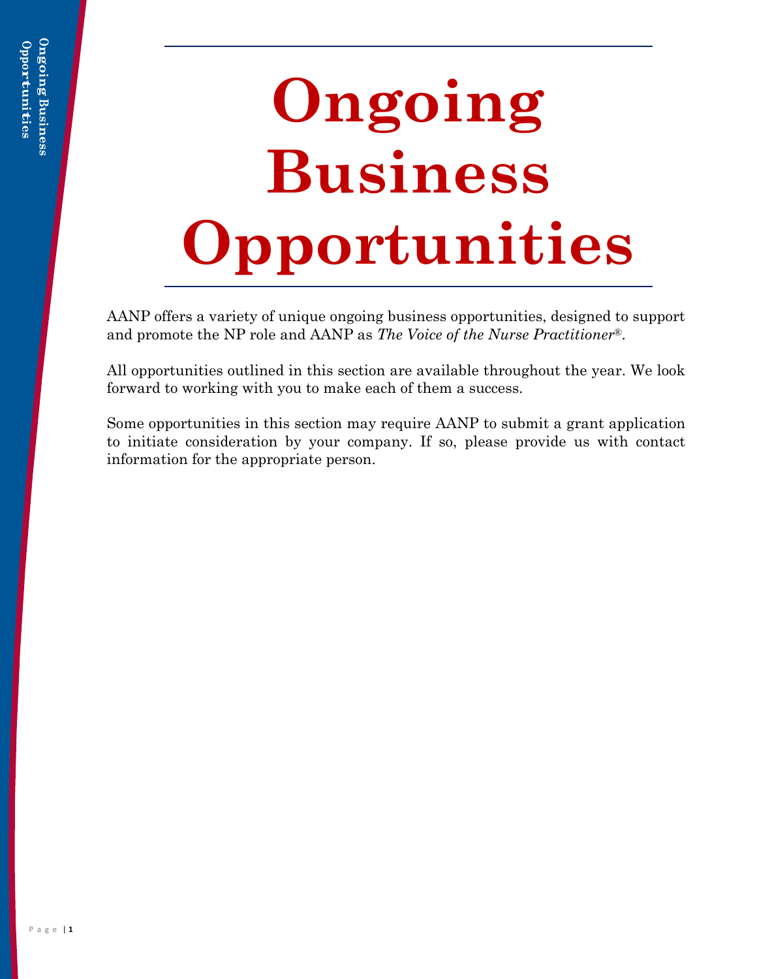## <span id="page-1-0"></span>**Ongoing Business Opportunities**

AANP offers a variety of unique ongoing business opportunities, designed to support and promote the NP role and AANP as *The Voice of the Nurse Practitioner*®.

All opportunities outlined in this section are available throughout the year. We look forward to working with you to make each of them a success.

<span id="page-1-1"></span>Some opportunities in this section may require AANP to submit a grant application to initiate consideration by your company. If so, please provide us with contact information for the appropriate person.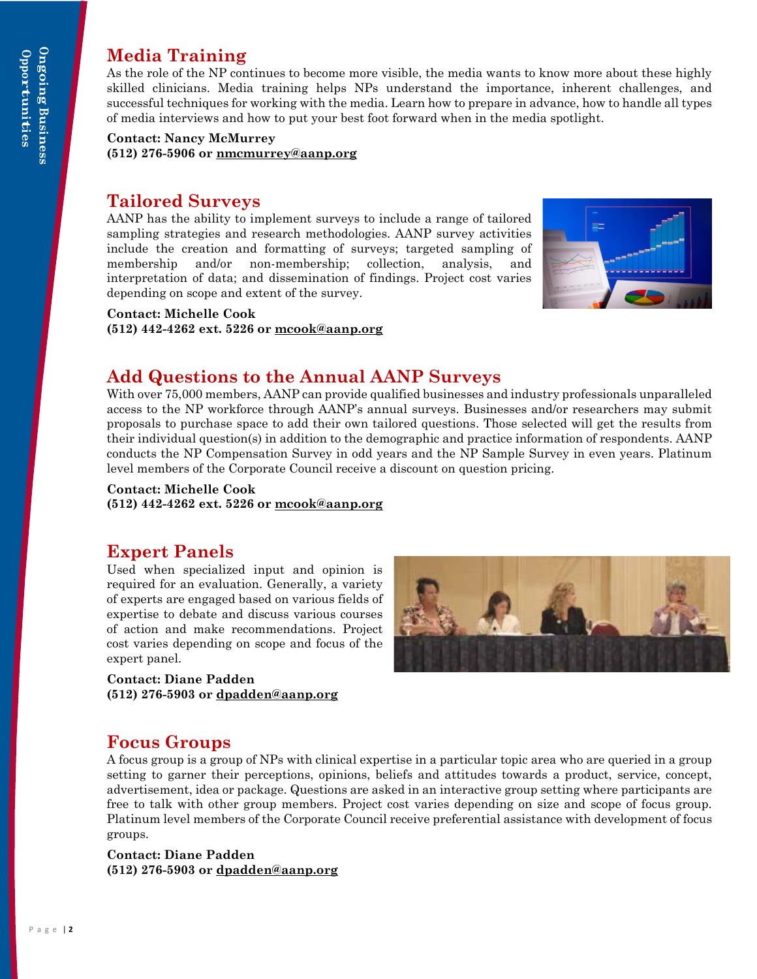#### **Media Training**

As the role of the NP continues to become more visible, the media wants to know more about these highly skilled clinicians. Media training helps NPs understand the importance, inherent challenges, and successful techniques for working with the media. Learn how to prepare in advance, how to handle all types of media interviews and how to put your best foot forward when in the media spotlight.

**Contact: Nancy McMurrey (512) 276-5906 or [nmcmurrey@aanp.org](mailto:nmcmurrey@aanp.org)**

#### **Tailored Surveys**

AANP has the ability to implement surveys to include a range of tailored sampling strategies and research methodologies. AANP survey activities include the creation and formatting of surveys; targeted sampling of membership and/or non-membership; collection, analysis, and interpretation of data; and dissemination of findings. Project cost varies depending on scope and extent of the survey.



#### **Contact: Michelle Cook**

**(512) 442-4262 ext. 5226 or [mcook@aanp.org](mailto:mcook@aanp.org)**

#### **Add Questions to the Annual AANP Surveys**

With over 75,000 members, AANP can provide qualified businesses and industry professionals unparalleled access to the NP workforce through AANP's annual surveys. Businesses and/or researchers may submit proposals to purchase space to add their own tailored questions. Those selected will get the results from their individual question(s) in addition to the demographic and practice information of respondents. AANP conducts the NP Compensation Survey in odd years and the NP Sample Survey in even years. Platinum level members of the Corporate Council receive a discount on question pricing.

#### **Contact: Michelle Cook**

**(512) 442-4262 ext. 5226 or [mcook@aanp.org](mailto:mcook@aanp.org)**

#### **Expert Panels**

Used when specialized input and opinion is required for an evaluation. Generally, a variety of experts are engaged based on various fields of expertise to debate and discuss various courses of action and make recommendations. Project cost varies depending on scope and focus of the expert panel.

**Contact: Diane Padden (512) 276-5903 or [dpadden@aanp.org](mailto:dpadden@aanp.org)**



#### **Focus Groups**

A focus group is a group of NPs with clinical expertise in a particular topic area who are queried in a group setting to garner their perceptions, opinions, beliefs and attitudes towards a product, service, concept, advertisement, idea or package. Questions are asked in an interactive group setting where participants are free to talk with other group members. Project cost varies depending on size and scope of focus group. Platinum level members of the Corporate Council receive preferential assistance with development of focus groups.

**Contact: Diane Padden (512) 276-5903 or [dpadden@aanp.org](mailto:dpadden@aanp.org)**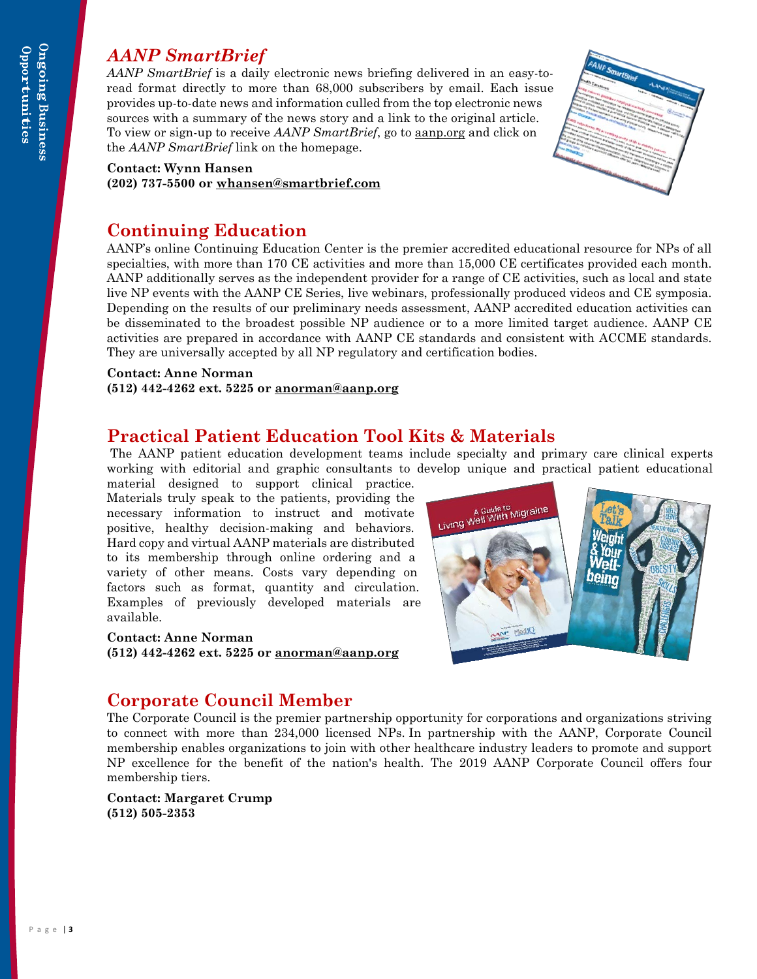#### <span id="page-3-0"></span>*AANP SmartBrief*

*AANP SmartBrief* is a daily electronic news briefing delivered in an easy-toread format directly to more than 68,000 subscribers by email. Each issue provides up-to-date news and information culled from the top electronic news sources with a summary of the news story and a link to the original article. To view or sign-up to receive *AANP SmartBrief*, go to [aanp.org](http://www.aanp.org/) and click on the *AANP SmartBrief* link on the homepage.

#### **Contact: Wynn Hansen**

**(202) 737-5500 or [whansen@smartbrief.com](mailto:whansen@smartbrief.com)**

#### <span id="page-3-1"></span>**Continuing Education**

AANP's online Continuing Education Center is the premier accredited educational resource for NPs of all specialties, with more than 170 CE activities and more than 15,000 CE certificates provided each month. AANP additionally serves as the independent provider for a range of CE activities, such as local and state live NP events with the AANP CE Series, live webinars, professionally produced videos and CE symposia. Depending on the results of our preliminary needs assessment, AANP accredited education activities can be disseminated to the broadest possible NP audience or to a more limited target audience. AANP CE activities are prepared in accordance with AANP CE standards and consistent with ACCME standards. They are universally accepted by all NP regulatory and certification bodies.

#### **Contact: Anne Norman**

**(512) 442-4262 ext. 5225 or [anorman@aanp.org](mailto:anorman@aanp.org)**

#### **Practical Patient Education Tool Kits & Materials**

The AANP patient education development teams include specialty and primary care clinical experts working with editorial and graphic consultants to develop unique and practical patient educational

material designed to support clinical practice. Materials truly speak to the patients, providing the necessary information to instruct and motivate positive, healthy decision-making and behaviors. Hard copy and virtual AANP materials are distributed to its membership through online ordering and a variety of other means. Costs vary depending on factors such as format, quantity and circulation. Examples of previously developed materials are available.

#### **Contact: Anne Norman**

**(512) 442-4262 ext. 5225 or [anorman@aanp.org](mailto:anorman@aanp.org)**



#### **Corporate Council Member**

The Corporate Council is the premier partnership opportunity for corporations and organizations striving to connect with more than 234,000 licensed NPs. In partnership with the AANP, Corporate Council membership enables organizations to join with other healthcare industry leaders to promote and support NP excellence for the benefit of the nation's health. The 2019 AANP Corporate Council offers four membership tiers.

**Contact: Margaret Crump (512) 505-2353**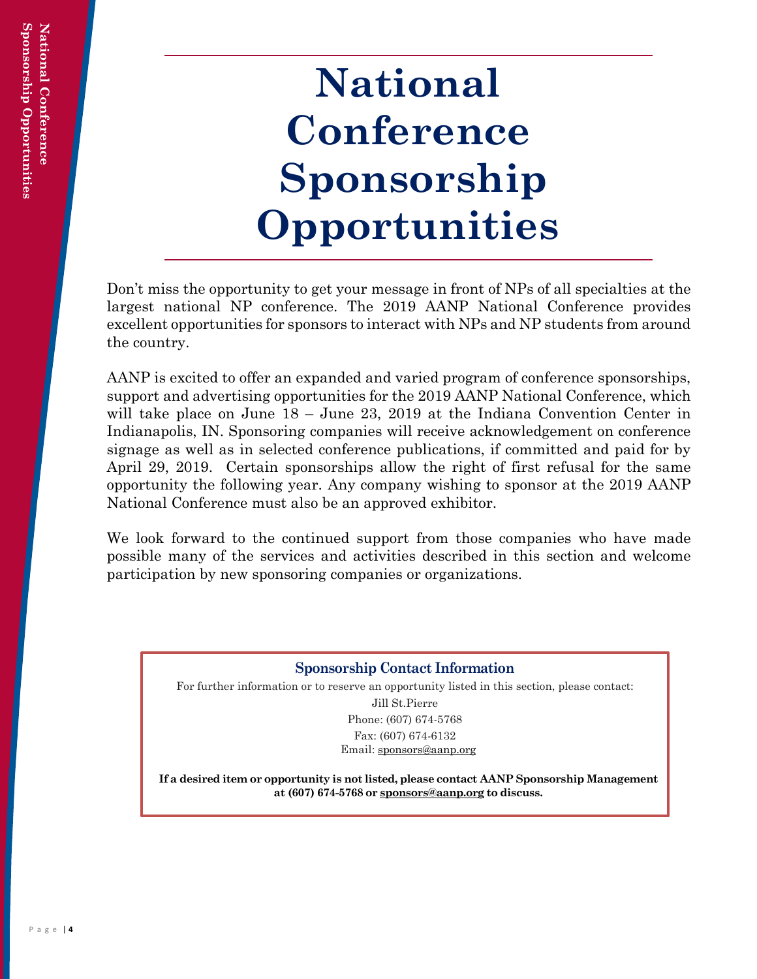## <span id="page-4-0"></span>**National Conference Sponsorship Opportunities**

Don't miss the opportunity to get your message in front of NPs of all specialties at the largest national NP conference. The 2019 AANP National Conference provides excellent opportunities for sponsors to interact with NPs and NP students from around the country.

AANP is excited to offer an expanded and varied program of conference sponsorships, support and advertising opportunities for the 2019 AANP National Conference, which will take place on June 18 – June 23, 2019 at the Indiana Convention Center in Indianapolis, IN. Sponsoring companies will receive acknowledgement on conference signage as well as in selected conference publications, if committed and paid for by April 29, 2019. Certain sponsorships allow the right of first refusal for the same opportunity the following year. Any company wishing to sponsor at the 2019 AANP National Conference must also be an approved exhibitor.

We look forward to the continued support from those companies who have made possible many of the services and activities described in this section and welcome participation by new sponsoring companies or organizations.

#### **Sponsorship Contact Information**

For further information or to reserve an opportunity listed in this section, please contact:

Jill St.Pierre Phone: (607) 674-5768 Fax: (607) 674-6132 Email: [sponsors@aanp.org](mailto:sponsors@aanp.org)

**If a desired item or opportunity is not listed, please contact AANP Sponsorship Management at (607) 674-5768 or [sponsors@aanp.org](mailto:sponsors@aanp.org) to discuss.**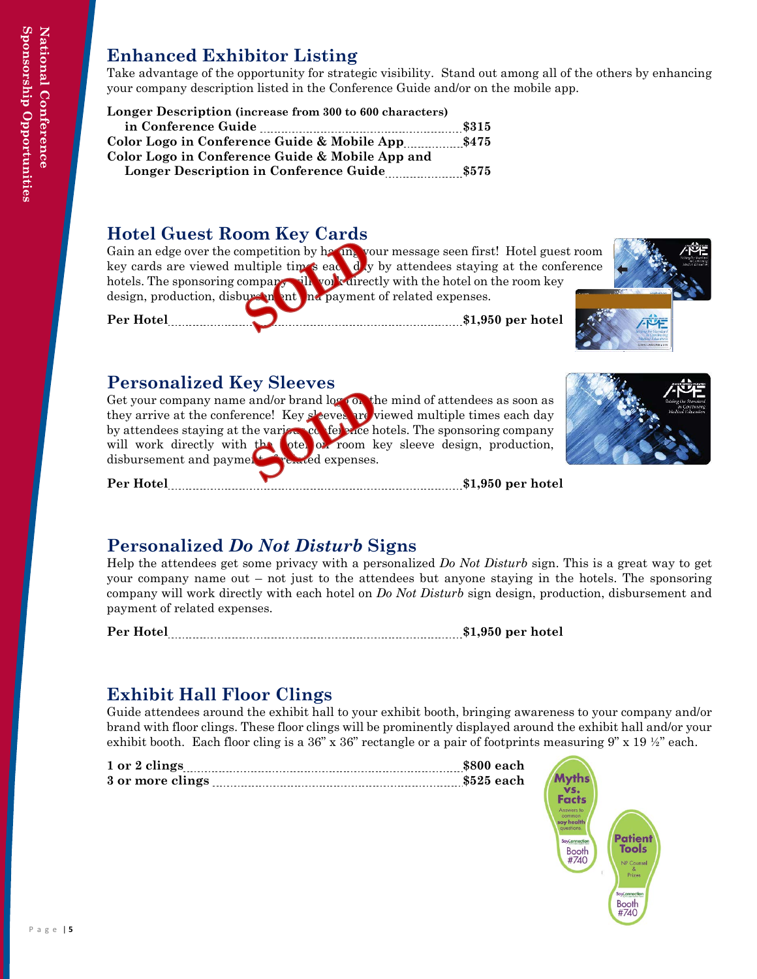#### <span id="page-5-0"></span>**Enhanced Exhibitor Listing**

Take advantage of the opportunity for strategic visibility. Stand out among all of the others by enhancing your company description listed in the Conference Guide and/or on the mobile app.

| Longer Description (increase from 300 to 600 characters) |       |
|----------------------------------------------------------|-------|
| in Conference Guide                                      | \$315 |
| Color Logo in Conference Guide & Mobile App              | \$475 |
| Color Logo in Conference Guide & Mobile App and          |       |
| Longer Description in Conference Guide                   | \$575 |

#### **Hotel Guest Room Key Cards**

Gain an edge over the competition by having your message seen first! Hotel guest room key cards are viewed multiple times each day by attendees staying at the conference hotels. The sponsoring company will you cannot with the hotel on the room key design, production, disbursement and payment of related expenses.

Per Hotel<sub> **but we have a set of the set of the set of the set of the set of the set of the set of the set of the set of the set of the set of the set of the set of the set of the set of the set of the set of the set of th</sub>** 

<span id="page-5-1"></span>

#### **Personalized Key Sleeves**

Get your company name and/or brand log on the mind of attendees as soon as they arrive at the conference! Key sleeves are viewed multiple times each day by attendees staying at the various conference hotels. The sponsoring company will work directly with the hotel on room key sleeve design, production, disbursement and payment of related expenses.

Per Hotel *manual contract of the state of 1,950 per hotel* 

#### **Personalized** *Do Not Disturb* **Signs**

Help the attendees get some privacy with a personalized *Do Not Disturb* sign. This is a great way to get your company name out – not just to the attendees but anyone staying in the hotels. The sponsoring company will work directly with each hotel on *Do Not Disturb* sign design, production, disbursement and payment of related expenses.

Per Hotel **Marshall Per Hotel \$1,950** per hotel

#### **Exhibit Hall Floor Clings**

Guide attendees around the exhibit hall to your exhibit booth, bringing awareness to your company and/or brand with floor clings. These floor clings will be prominently displayed around the exhibit hall and/or your exhibit booth. Each floor cling is a 36" x 36" rectangle or a pair of footprints measuring  $9" \times 19 \frac{1}{2}$ " each.

| 1 or 2 clings    | \$800 each  |
|------------------|-------------|
| 3 or more clings | $$525$ each |

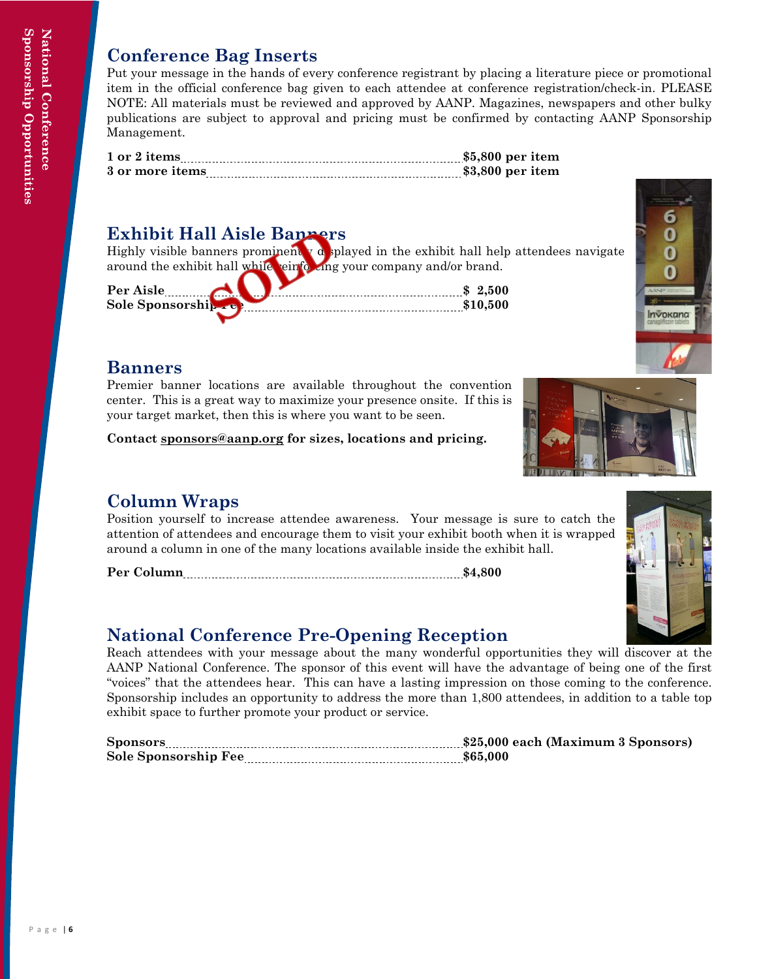#### **Conference Bag Inserts**

Put your message in the hands of every conference registrant by placing a literature piece or promotional item in the official conference bag given to each attendee at conference registration/check-in. PLEASE NOTE: All materials must be reviewed and approved by AANP. Magazines, newspapers and other bulky publications are subject to approval and pricing must be confirmed by contacting AANP Sponsorship Management.

| 1 or 2 items    | $$5,800$ per item |
|-----------------|-------------------|
| 3 or more items | $$3,800$ per item |

#### **Exhibit Hall Aisle Banners**

Highly visible banners prominently displayed in the exhibit hall help attendees navigate around the exhibit hall while einforcing your company and/or brand.

| Per Aisle<br>.       |  | .500 |
|----------------------|--|------|
| Sole Sponsorship rep |  |      |
|                      |  |      |



#### **Banners**

Premier banner locations are available throughout the convention center. This is a great way to maximize your presence onsite. If this is your target market, then this is where you want to be seen.

**Contact [sponsors@aanp.org](mailto:sponsors@aanp.org) for sizes, locations and pricing.**

#### **Column Wraps**

Position yourself to increase attendee awareness. Your message is sure to catch the attention of attendees and encourage them to visit your exhibit booth when it is wrapped around a column in one of the many locations available inside the exhibit hall.

**Per Column \$4,800**

#### **National Conference Pre-Opening Reception**

Reach attendees with your message about the many wonderful opportunities they will discover at the AANP National Conference. The sponsor of this event will have the advantage of being one of the first "voices" that the attendees hear. This can have a lasting impression on those coming to the conference. Sponsorship includes an opportunity to address the more than 1,800 attendees, in addition to a table top exhibit space to further promote your product or service.

<span id="page-6-0"></span>

| <b>Sponsors</b>      | \$25,000 each (Maximum 3 Sponsors) |
|----------------------|------------------------------------|
| Sole Sponsorship Fee |                                    |



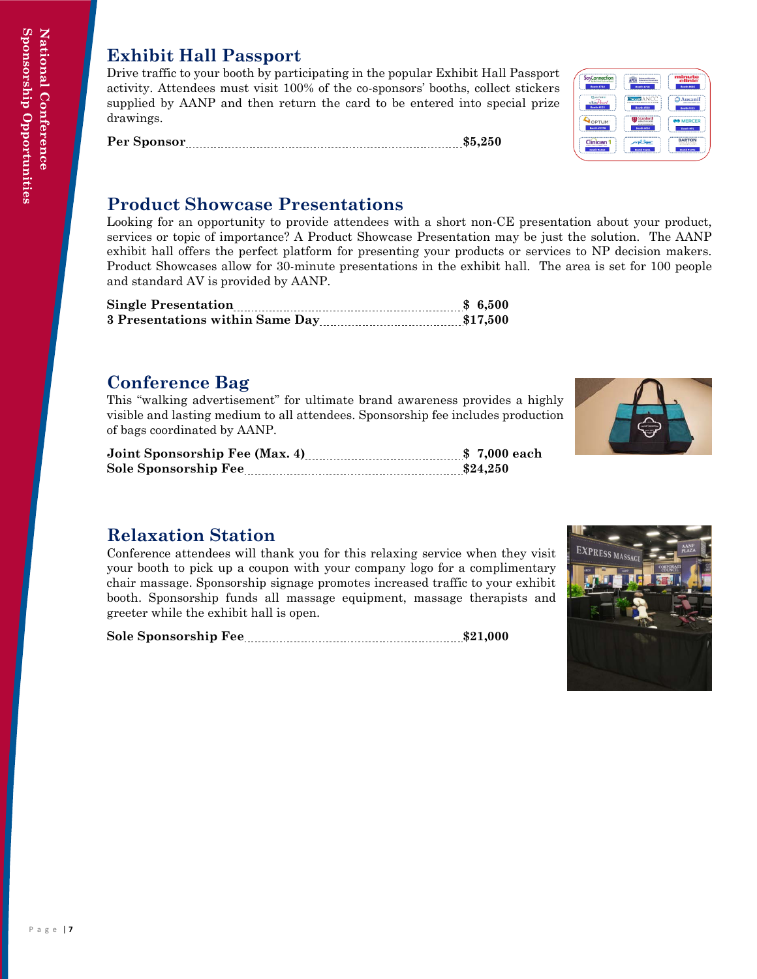#### **Exhibit Hall Passport**

Drive traffic to your booth by participating in the popular Exhibit Hall Passport activity. Attendees must visit 100% of the co-sponsors' booths, collect stickers supplied by AANP and then return the card to be entered into special prize drawings.

**Per Sponsor \$5,250**



#### **Product Showcase Presentations**

Looking for an opportunity to provide attendees with a short non-CE presentation about your product, services or topic of importance? A Product Showcase Presentation may be just the solution. The AANP exhibit hall offers the perfect platform for presenting your products or services to NP decision makers. Product Showcases allow for 30-minute presentations in the exhibit hall. The area is set for 100 people and standard AV is provided by AANP.

#### **Conference Bag**

This "walking advertisement" for ultimate brand awareness provides a highly visible and lasting medium to all attendees. Sponsorship fee includes production of bags coordinated by AANP.

| Sole Sponsorship Fee |  |  |
|----------------------|--|--|



#### **Relaxation Station**

Conference attendees will thank you for this relaxing service when they visit your booth to pick up a coupon with your company logo for a complimentary chair massage. Sponsorship signage promotes increased traffic to your exhibit booth. Sponsorship funds all massage equipment, massage therapists and greeter while the exhibit hall is open.

<span id="page-7-0"></span>Sole Sponsorship Fee **<b>\$21,000** \$21,000

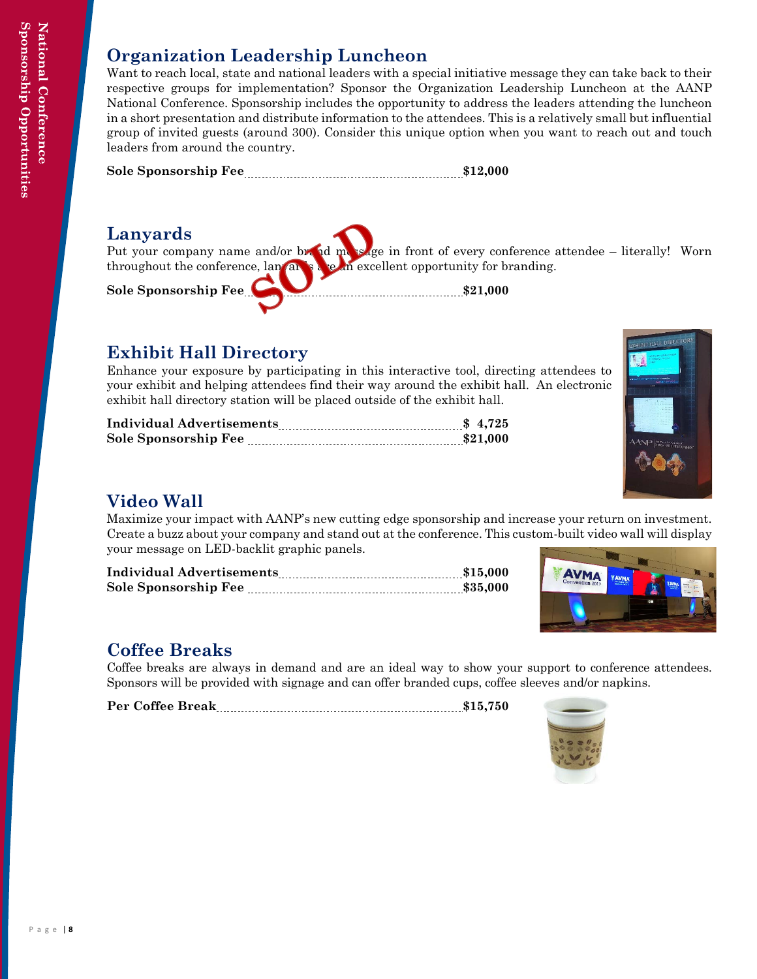National Conference

#### **Organization Leadership Luncheon**

Want to reach local, state and national leaders with a special initiative message they can take back to their respective groups for implementation? Sponsor the Organization Leadership Luncheon at the AANP National Conference. Sponsorship includes the opportunity to address the leaders attending the luncheon in a short presentation and distribute information to the attendees. This is a relatively small but influential group of invited guests (around 300). Consider this unique option when you want to reach out and touch leaders from around the country.

**Sole Sponsorship Fee \$12,000** 

#### **Lanyards**

Put your company name and/or brand message in front of every conference attendee – literally! Worn throughout the conference, lan<sub>d</sub> and see an excellent opportunity for branding. Sole Sponsorship Fee **by All Accords** 21,000

#### **Exhibit Hall Directory**

Enhance your exposure by participating in this interactive tool, directing attendees to your exhibit and helping attendees find their way around the exhibit hall. An electronic exhibit hall directory station will be placed outside of the exhibit hall.

| <b>Individual Advertisements</b><br>s 4,725 |  |  |
|---------------------------------------------|--|--|
| Sole Sponsorship Fee<br>$\sim$ 321.000      |  |  |



#### **Video Wall**

Maximize your impact with AANP's new cutting edge sponsorship and increase your return on investment. Create a buzz about your company and stand out at the conference. This custom-built video wall will display your message on LED-backlit graphic panels.

| <b>Individual Advertisements</b> |  |
|----------------------------------|--|
| Sole Sponsorship Fee             |  |



#### **Coffee Breaks**

Coffee breaks are always in demand and are an ideal way to show your support to conference attendees. Sponsors will be provided with signage and can offer branded cups, coffee sleeves and/or napkins.

<span id="page-8-0"></span>Per Coffee Break **Martin Corp. 2015**, 200 \$15,750

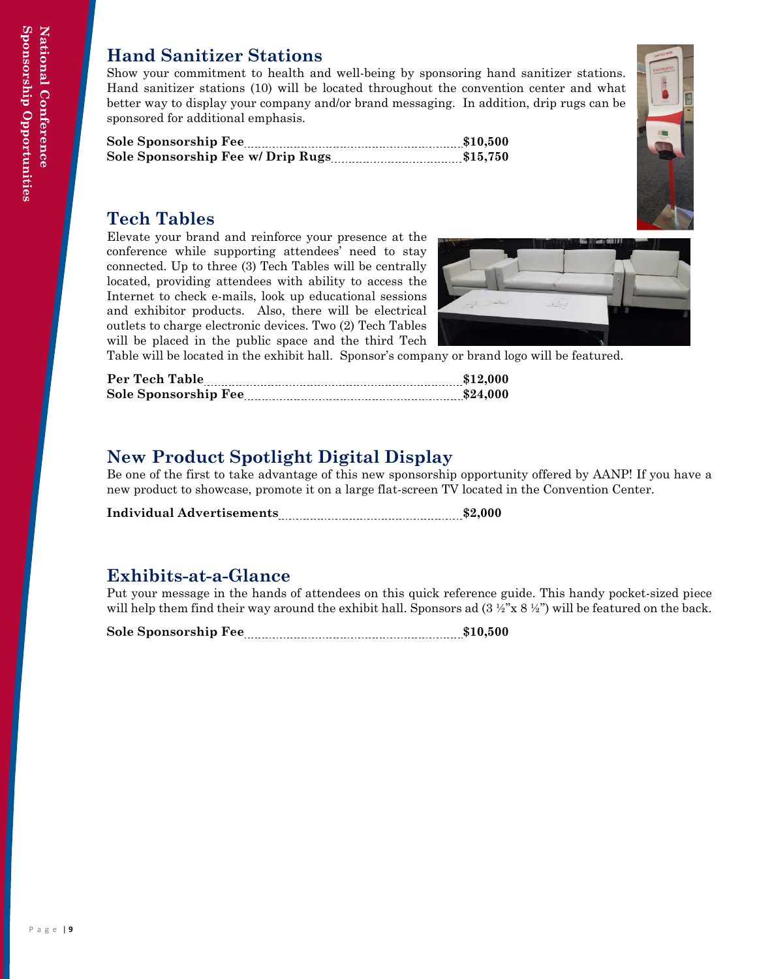#### **Hand Sanitizer Stations**

Show your commitment to health and well-being by sponsoring hand sanitizer stations. Hand sanitizer stations (10) will be located throughout the convention center and what better way to display your company and/or brand messaging. In addition, drip rugs can be sponsored for additional emphasis.

| Sole Sponsorship Fee | $\sim$ \$10.500 |  |
|----------------------|-----------------|--|
|                      |                 |  |

#### **Tech Tables**

Elevate your brand and reinforce your presence at the conference while supporting attendees' need to stay connected. Up to three (3) Tech Tables will be centrally located, providing attendees with ability to access the Internet to check e-mails, look up educational sessions and exhibitor products. Also, there will be electrical outlets to charge electronic devices. Two (2) Tech Tables will be placed in the public space and the third Tech



Table will be located in the exhibit hall. Sponsor's company or brand logo will be featured.

| Per Tech Table<br>$\overline{\phantom{a}12.000}$ \$12,000 |  |
|-----------------------------------------------------------|--|
| Sole Sponsorship Fee                                      |  |

#### **New Product Spotlight Digital Display**

Be one of the first to take advantage of this new sponsorship opportunity offered by AANP! If you have a new product to showcase, promote it on a large flat-screen TV located in the Convention Center.

**Individual Advertisements \$2,000**

#### **Exhibits-at-a-Glance**

Put your message in the hands of attendees on this quick reference guide. This handy pocket-sized piece will help them find their way around the exhibit hall. Sponsors ad  $(3 \frac{1}{2} x^2 x^2 \frac{1}{2} y^2)$  will be featured on the back.

<span id="page-9-0"></span>**Sole Sponsorship Fee \$10,500**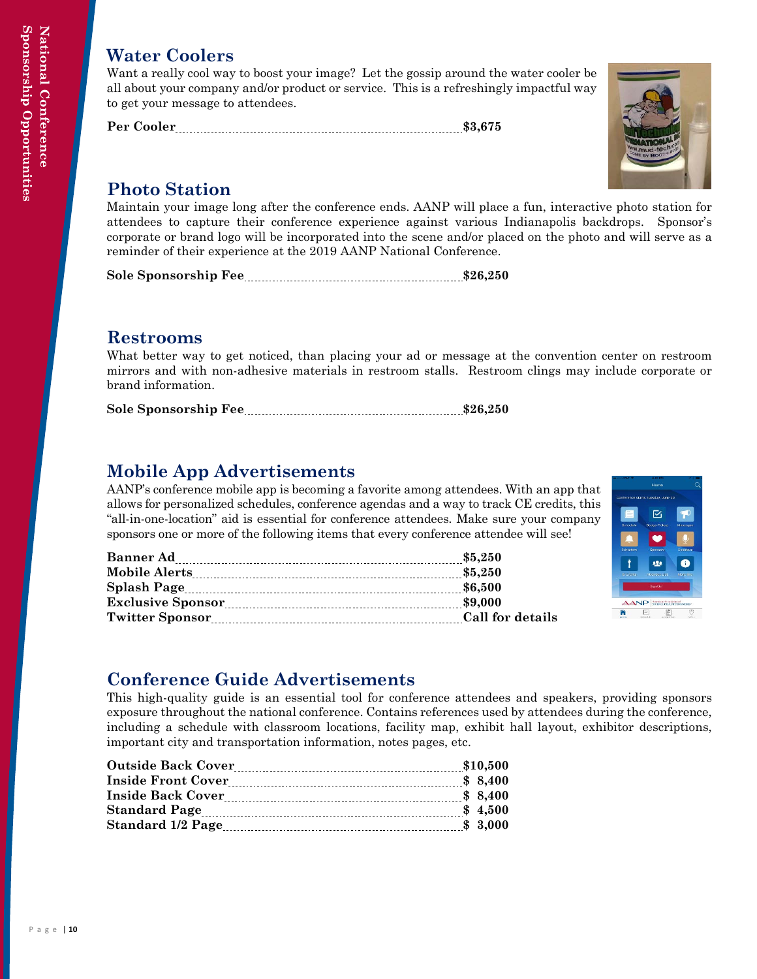#### **Water Coolers**

Want a really cool way to boost your image? Let the gossip around the water cooler be all about your company and/or product or service. This is a refreshingly impactful way to get your message to attendees.

Per Cooler **Marshall** 83,675



#### **Photo Station**

Maintain your image long after the conference ends. AANP will place a fun, interactive photo station for attendees to capture their conference experience against various Indianapolis backdrops. Sponsor's corporate or brand logo will be incorporated into the scene and/or placed on the photo and will serve as a reminder of their experience at the 2019 AANP National Conference.

**Sole Sponsorship Fee \$26,250**

#### **Restrooms**

What better way to get noticed, than placing your ad or message at the convention center on restroom mirrors and with non-adhesive materials in restroom stalls. Restroom clings may include corporate or brand information.

| <b>Sole Sponsorship Fee</b> |  |
|-----------------------------|--|
|-----------------------------|--|

#### **Mobile App Advertisements**

AANP's conference mobile app is becoming a favorite among attendees. With an app that allows for personalized schedules, conference agendas and a way to track CE credits, this "all-in-one-location" aid is essential for conference attendees. Make sure your company sponsors one or more of the following items that every conference attendee will see!

| <b>Banner Ad</b><br>\$5,250                |  |
|--------------------------------------------|--|
|                                            |  |
| \$6,500                                    |  |
| \$9,000<br><b>Exclusive Sponsor</b>        |  |
| Call for details<br><b>Twitter Sponsor</b> |  |



#### **Conference Guide Advertisements**

This high-quality guide is an essential tool for conference attendees and speakers, providing sponsors exposure throughout the national conference. Contains references used by attendees during the conference, including a schedule with classroom locations, facility map, exhibit hall layout, exhibitor descriptions, important city and transportation information, notes pages, etc.

|  | \$10,500 |
|--|----------|
|  |          |
|  |          |
|  |          |
|  |          |
|  |          |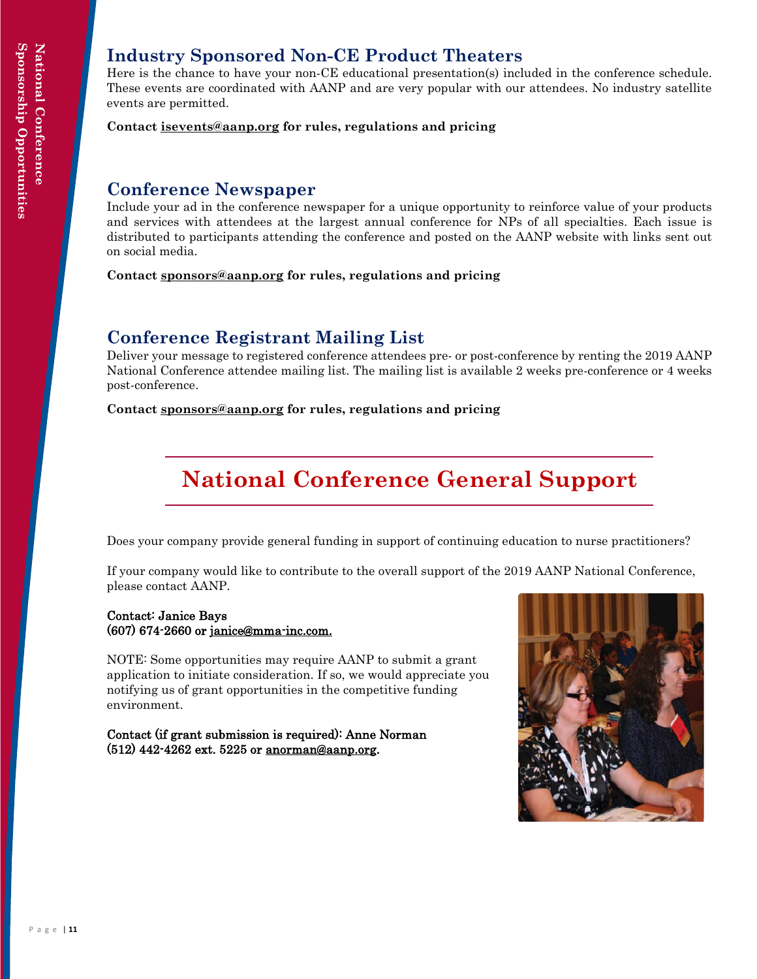#### **Industry Sponsored Non-CE Product Theaters**

Here is the chance to have your non-CE educational presentation(s) included in the conference schedule. These events are coordinated with AANP and are very popular with our attendees. No industry satellite events are permitted.

**Contact [isevents@aanp.org](mailto:isevents@aanp.org) for rules, regulations and pricing**

#### **Conference Newspaper**

Include your ad in the conference newspaper for a unique opportunity to reinforce value of your products and services with attendees at the largest annual conference for NPs of all specialties. Each issue is distributed to participants attending the conference and posted on the AANP website with links sent out on social media.

**Contact [sponsors@aanp.org](mailto:sponsors@aanp.org) for rules, regulations and pricing**

#### **Conference Registrant Mailing List**

Deliver your message to registered conference attendees pre- or post-conference by renting the 2019 AANP National Conference attendee mailing list. The mailing list is available 2 weeks pre-conference or 4 weeks post-conference.

**Contact [sponsors@aanp.org](mailto:sponsors@aanp.org) for rules, regulations and pricing**

#### **National Conference General Support**

Does your company provide general funding in support of continuing education to nurse practitioners?

If your company would like to contribute to the overall support of the 2019 AANP National Conference, please contact AANP.

#### Contact: Janice Bays (607) 674-2660 or [janice@mma-inc.com.](mailto:janice@mma-inc.com.)

NOTE: Some opportunities may require AANP to submit a grant application to initiate consideration. If so, we would appreciate you notifying us of grant opportunities in the competitive funding environment.

Contact (if grant submission is required): Anne Norman (512) 442-4262 ext. 5225 or [anorman@aanp.org.](mailto:anorman@aanp.org)